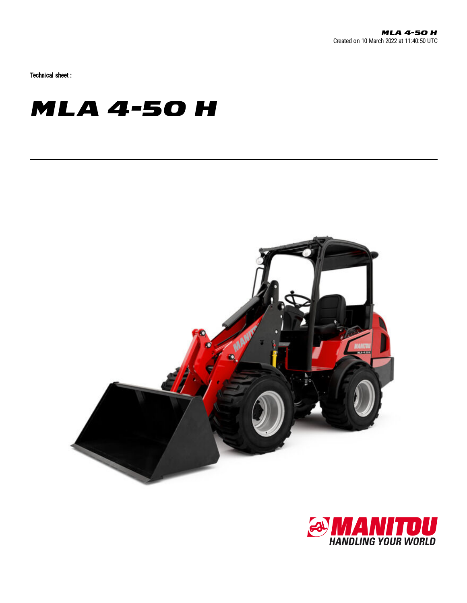Technical sheet :

## **MLA 4-50 H**



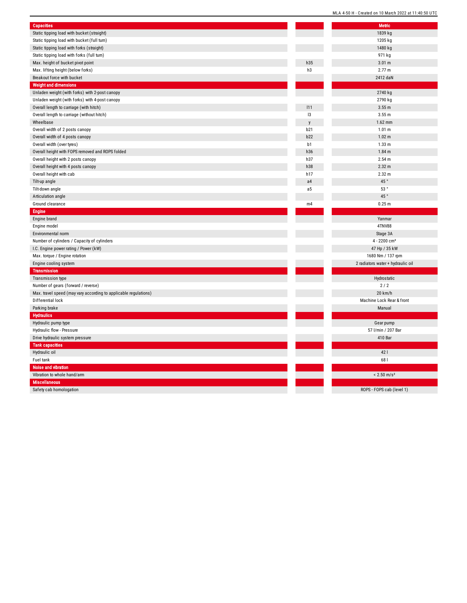| <b>Capacities</b>                                                |                | <b>Metric</b>                   |
|------------------------------------------------------------------|----------------|---------------------------------|
| Static tipping load with bucket (straight)                       |                | 1839 kg                         |
| Static tipping load with bucket (full turn)                      |                | 1205 kg                         |
| Static tipping load with forks (straight)                        |                | 1480 kg                         |
| Static tipping load with forks (full turn)                       |                | 971 kg                          |
| Max. height of bucket pivot point                                | h35            | 3.01 m                          |
| Max. lifting height (below forks)                                | h3             | 2.77 m                          |
| Breakout force with bucket                                       |                | 2412 daN                        |
| <b>Weight and dimensions</b>                                     |                |                                 |
| Unladen weight (with forks) with 2-post canopy                   |                | 2740 kg                         |
| Unladen weight (with forks) with 4-post canopy                   |                | 2790 kg                         |
| Overall length to carriage (with hitch)                          | 111            | 3.55 m                          |
| Overall length to carriage (without hitch)                       | 13             | 3.55m                           |
| Wheelbase                                                        | y              | 1.62 mm                         |
| Overall width of 2 posts canopy                                  | b21            | 1.01 m                          |
| Overall width of 4 posts canopy                                  | b22            | 1.02 <sub>m</sub>               |
| Overall width (over tyres)                                       | b1             | 1.33 <sub>m</sub>               |
| Overall height with FOPS removed and ROPS folded                 | h36            | 1.84 <sub>m</sub>               |
| Overall height with 2 posts canopy                               | h37            | 2.54 m                          |
| Overall height with 4 posts canopy                               | h38            | 2.32 m                          |
| Overall height with cab                                          | h17            | 2.32 m                          |
| Tilt-up angle                                                    | a4             | 45°                             |
| Tilt-down angle                                                  | a <sub>5</sub> | 53°                             |
| Articulation angle                                               |                | 45°                             |
| Ground clearance                                                 | m4             | 0.25 <sub>m</sub>               |
| <b>Engine</b>                                                    |                |                                 |
| Engine brand                                                     |                | Yanmar                          |
| Engine model                                                     |                | 4TNV88                          |
| Environmental norm                                               |                | Stage 3A                        |
| Number of cylinders / Capacity of cylinders                      |                | 4 - 2200 cm <sup>3</sup>        |
| I.C. Engine power rating / Power (kW)                            |                | 47 Hp / 35 kW                   |
| Max. torque / Engine rotation                                    |                | 1680 Nm / 137 rpm               |
| Engine cooling system                                            |                | 2 radiators water + hydraulic o |
| <b>Transmission</b>                                              |                |                                 |
| Transmission type                                                |                | Hydrostatic                     |
| Number of gears (forward / reverse)                              |                | 2/2                             |
| Max. travel speed (may vary according to applicable regulations) |                | 20 km/h                         |
| Differential lock                                                |                | Machine Lock Rear & front       |
| Parking brake                                                    |                | Manual                          |
| <b>Hydraulics</b>                                                |                |                                 |
| Hydraulic pump type                                              |                | Gear pump                       |
| Hydraulic flow - Pressure                                        |                | 57 I/min / 207 Bar              |
| Drive hydraulic system pressure                                  |                | 410 Bar                         |
| <b>Tank capacities</b>                                           |                |                                 |
| Hydraulic oil                                                    |                | 42                              |
| Fuel tank                                                        |                | 681                             |
| Noise and vibration                                              |                |                                 |
| Vibration to whole hand/arm                                      |                | $< 2.50$ m/s <sup>2</sup>       |
| <b>Miscellaneous</b>                                             |                |                                 |
| Safety cab homologation                                          |                | ROPS - FOPS cab (level 1)       |
|                                                                  |                |                                 |

2 radiators water + hydraulic oil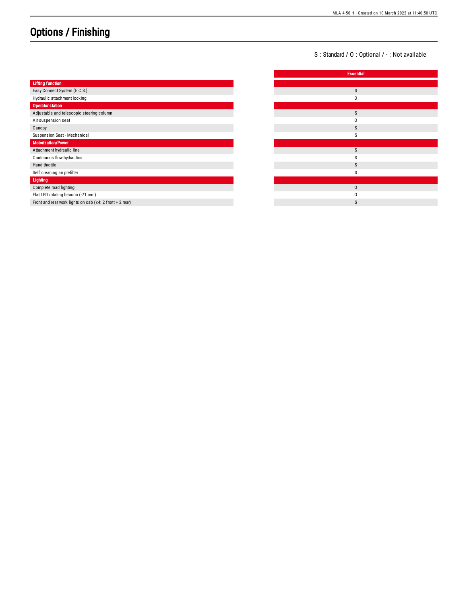## Options / Finishing

S: Standard / O: Optional / -: Not available

|                                                          | <b>Essential</b> |
|----------------------------------------------------------|------------------|
| <b>Lifting function</b>                                  |                  |
| Easy Connect System (E.C.S.)                             | S                |
| Hydraulic attachment locking                             | 0                |
| Operator station                                         |                  |
| Adjustable and telescopic steering column                | S                |
| Air suspension seat                                      | $\Omega$         |
| Canopy                                                   | S                |
| Suspension Seat - Mechanical                             | S                |
| Motorization/Power                                       |                  |
| Attachment hydraulic line                                | S                |
| Continuous flow hydraulics                               | S                |
| Hand throttle                                            | S                |
| Self cleaning air prefilter                              | S                |
| Lighting                                                 |                  |
| Complete road lighting                                   | $\pmb{0}$        |
| Flat LED rotating beacon (-71 mm)                        | 0                |
| Front and rear work lights on cab (x4: 2 front + 2 rear) | S                |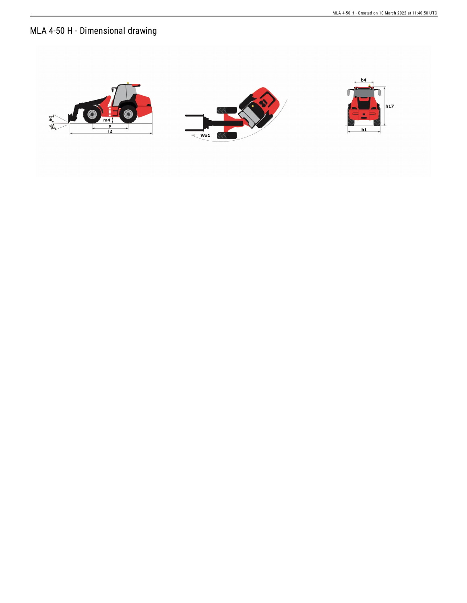## MLA 4-50 H - Dimensional drawing